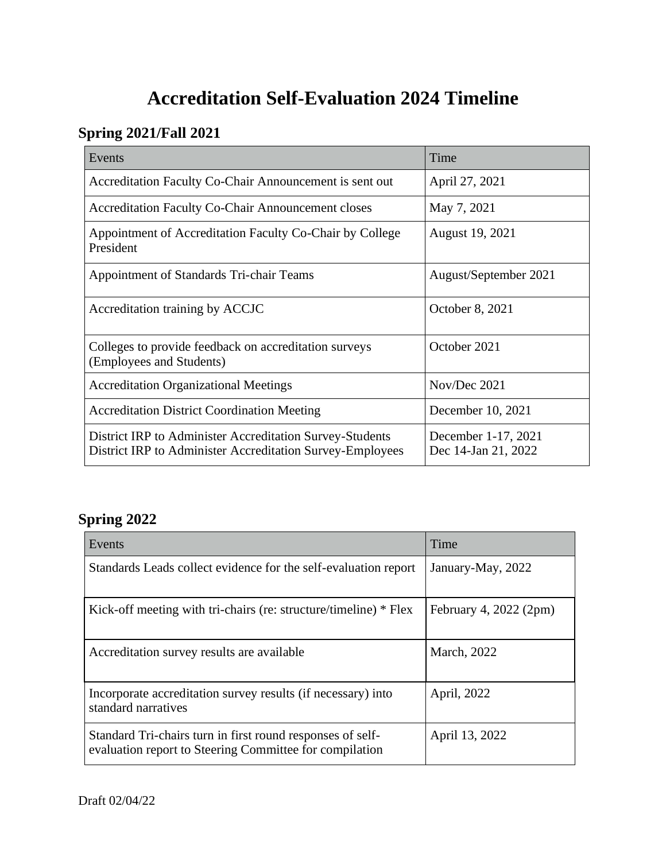# **Accreditation Self-Evaluation 2024 Timeline**

### **Spring 2021/Fall 2021**

| Events                                                                                                                | Time                                       |
|-----------------------------------------------------------------------------------------------------------------------|--------------------------------------------|
| Accreditation Faculty Co-Chair Announcement is sent out                                                               | April 27, 2021                             |
| <b>Accreditation Faculty Co-Chair Announcement closes</b>                                                             | May 7, 2021                                |
| Appointment of Accreditation Faculty Co-Chair by College<br>President                                                 | August 19, 2021                            |
| Appointment of Standards Tri-chair Teams                                                                              | August/September 2021                      |
| Accreditation training by ACCJC                                                                                       | October 8, 2021                            |
| Colleges to provide feedback on accreditation surveys<br>(Employees and Students)                                     | October 2021                               |
| <b>Accreditation Organizational Meetings</b>                                                                          | Nov/Dec 2021                               |
| <b>Accreditation District Coordination Meeting</b>                                                                    | December 10, 2021                          |
| District IRP to Administer Accreditation Survey-Students<br>District IRP to Administer Accreditation Survey-Employees | December 1-17, 2021<br>Dec 14-Jan 21, 2022 |

### **Spring 2022**

| Events                                                                                                                | Time                   |
|-----------------------------------------------------------------------------------------------------------------------|------------------------|
| Standards Leads collect evidence for the self-evaluation report                                                       | January-May, 2022      |
| Kick-off meeting with tri-chairs (re: structure/timeline) * Flex                                                      | February 4, 2022 (2pm) |
| Accreditation survey results are available                                                                            | March, 2022            |
| Incorporate accreditation survey results (if necessary) into<br>standard narratives                                   | April, 2022            |
| Standard Tri-chairs turn in first round responses of self-<br>evaluation report to Steering Committee for compilation | April 13, 2022         |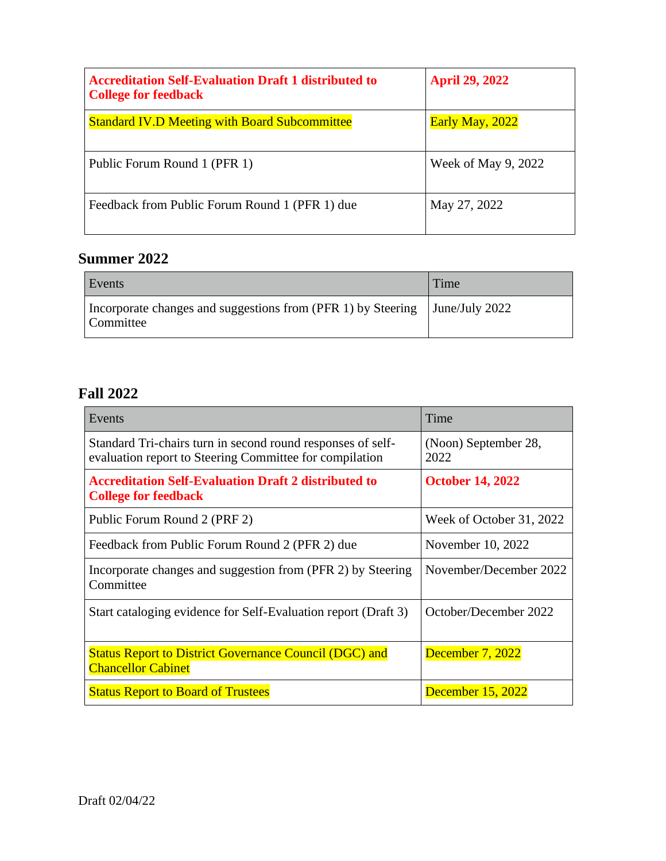| <b>Accreditation Self-Evaluation Draft 1 distributed to</b><br><b>College for feedback</b> | <b>April 29, 2022</b> |
|--------------------------------------------------------------------------------------------|-----------------------|
| <b>Standard IV.D Meeting with Board Subcommittee</b>                                       | Early May, 2022       |
| Public Forum Round 1 (PFR 1)                                                               | Week of May 9, 2022   |
| Feedback from Public Forum Round 1 (PFR 1) due                                             | May 27, 2022          |

#### **Summer 2022**

| Events                                                                    | Time                   |
|---------------------------------------------------------------------------|------------------------|
| Incorporate changes and suggestions from (PFR 1) by Steering<br>Committee | $\vert$ June/July 2022 |

#### **Fall 2022**

| Events                                                                                                                 | Time                         |
|------------------------------------------------------------------------------------------------------------------------|------------------------------|
| Standard Tri-chairs turn in second round responses of self-<br>evaluation report to Steering Committee for compilation | (Noon) September 28,<br>2022 |
| <b>Accreditation Self-Evaluation Draft 2 distributed to</b><br><b>College for feedback</b>                             | <b>October 14, 2022</b>      |
| Public Forum Round 2 (PRF 2)                                                                                           | Week of October 31, 2022     |
| Feedback from Public Forum Round 2 (PFR 2) due                                                                         | November 10, 2022            |
| Incorporate changes and suggestion from (PFR 2) by Steering<br>Committee                                               | November/December 2022       |
| Start cataloging evidence for Self-Evaluation report (Draft 3)                                                         | October/December 2022        |
| <b>Status Report to District Governance Council (DGC) and</b><br><b>Chancellor Cabinet</b>                             | December 7, 2022             |
| <b>Status Report to Board of Trustees</b>                                                                              | <b>December 15, 2022</b>     |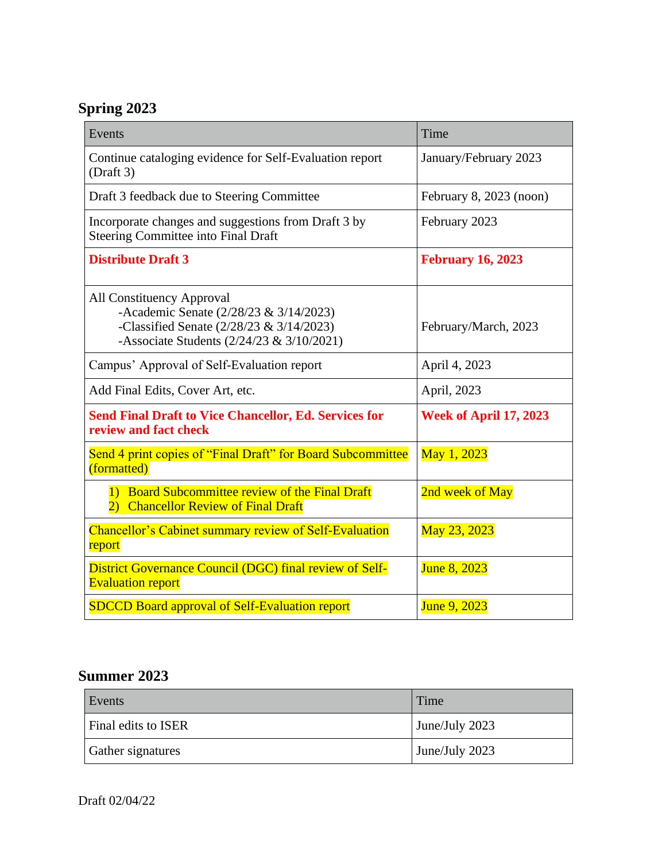### **Spring 2023**

| Events                                                                                                                                                                    | Time                          |
|---------------------------------------------------------------------------------------------------------------------------------------------------------------------------|-------------------------------|
| Continue cataloging evidence for Self-Evaluation report<br>(Draff 3)                                                                                                      | January/February 2023         |
| Draft 3 feedback due to Steering Committee                                                                                                                                | February 8, 2023 (noon)       |
| Incorporate changes and suggestions from Draft 3 by<br><b>Steering Committee into Final Draft</b>                                                                         | February 2023                 |
| <b>Distribute Draft 3</b>                                                                                                                                                 | <b>February 16, 2023</b>      |
| <b>All Constituency Approval</b><br>-Academic Senate (2/28/23 & 3/14/2023)<br>-Classified Senate $(2/28/23 \& 3/14/2023)$<br>-Associate Students $(2/24/23 \& 3/10/2021)$ | February/March, 2023          |
| Campus' Approval of Self-Evaluation report                                                                                                                                | April 4, 2023                 |
| Add Final Edits, Cover Art, etc.                                                                                                                                          | April, 2023                   |
| <b>Send Final Draft to Vice Chancellor, Ed. Services for</b><br>review and fact check                                                                                     | <b>Week of April 17, 2023</b> |
| Send 4 print copies of "Final Draft" for Board Subcommittee<br>(formatted)                                                                                                | May 1, 2023                   |
| 1) Board Subcommittee review of the Final Draft<br>2) Chancellor Review of Final Draft                                                                                    | 2nd week of May               |
| <b>Chancellor's Cabinet summary review of Self-Evaluation</b><br>report                                                                                                   | May 23, 2023                  |
| <b>District Governance Council (DGC) final review of Self-</b><br><b>Evaluation report</b>                                                                                | June 8, 2023                  |
| <b>SDCCD Board approval of Self-Evaluation report</b>                                                                                                                     | June 9, 2023                  |

### **Summer 2023**

| Events              | Time           |
|---------------------|----------------|
| Final edits to ISER | June/July 2023 |
| Gather signatures   | June/July 2023 |